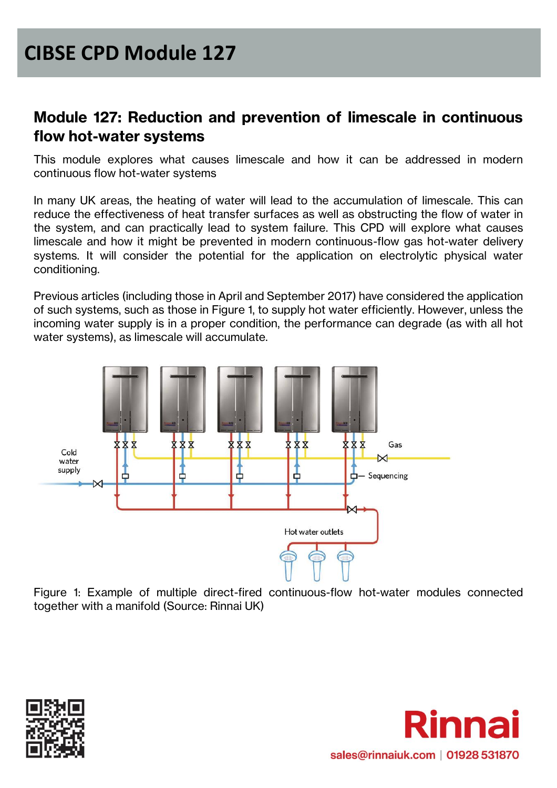#### **Module 127: Reduction and prevention of limescale in continuous flow hot-water systems**

This module explores what causes limescale and how it can be addressed in modern continuous flow hot-water systems

In many UK areas, the heating of water will lead to the accumulation of limescale. This can reduce the effectiveness of heat transfer surfaces as well as obstructing the flow of water in the system, and can practically lead to system failure. This CPD will explore what causes limescale and how it might be prevented in modern continuous-flow gas hot-water delivery systems. It will consider the potential for the application on electrolytic physical water conditioning.

Previous articles (including those in April and September 2017) have considered the application of such systems, such as those in Figure 1, to supply hot water efficiently. However, unless the incoming water supply is in a proper condition, the performance can degrade (as with all hot water systems), as limescale will accumulate.



Figure 1: Example of multiple direct-fired continuous-flow hot-water modules connected together with a manifold (Source: Rinnai UK)



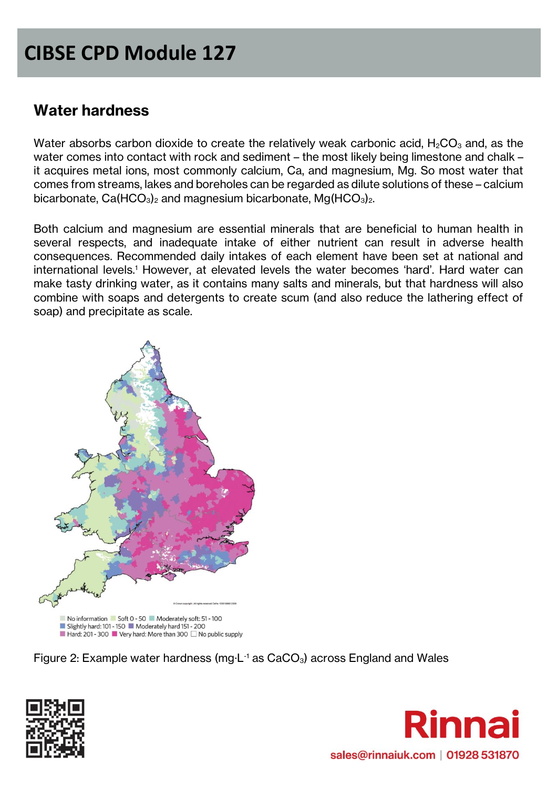## **Water hardness**

Water absorbs carbon dioxide to create the relatively weak carbonic acid,  $H_2CO_3$  and, as the water comes into contact with rock and sediment – the most likely being limestone and chalk – it acquires metal ions, most commonly calcium, Ca, and magnesium, Mg. So most water that comes from streams, lakes and boreholes can be regarded as dilute solutions of these – calcium bicarbonate,  $Ca(HCO<sub>3</sub>)<sub>2</sub>$  and magnesium bicarbonate,  $Mg(HCO<sub>3</sub>)<sub>2</sub>$ .

Both calcium and magnesium are essential minerals that are beneficial to human health in several respects, and inadequate intake of either nutrient can result in adverse health consequences. Recommended daily intakes of each element have been set at national and international levels.<sup>1</sup> However, at elevated levels the water becomes 'hard'. Hard water can make tasty drinking water, as it contains many salts and minerals, but that hardness will also combine with soaps and detergents to create scum (and also reduce the lathering effect of soap) and precipitate as scale.



Figure 2: Example water hardness (mg $\text{L}$ <sup>1</sup> as CaCO<sub>3</sub>) across England and Wales



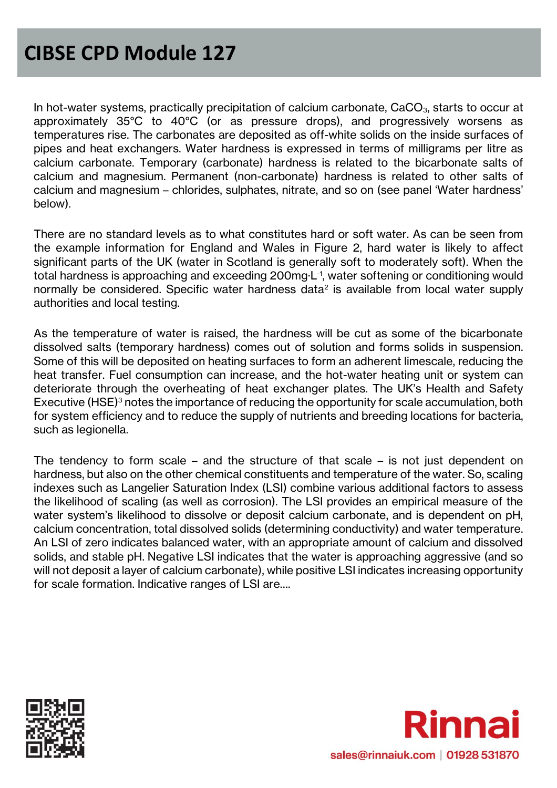In hot-water systems, practically precipitation of calcium carbonate,  $CaCO<sub>3</sub>$ , starts to occur at approximately 35°C to 40°C (or as pressure drops), and progressively worsens as temperatures rise. The carbonates are deposited as off-white solids on the inside surfaces of pipes and heat exchangers. Water hardness is expressed in terms of milligrams per litre as calcium carbonate. Temporary (carbonate) hardness is related to the bicarbonate salts of calcium and magnesium. Permanent (non-carbonate) hardness is related to other salts of calcium and magnesium – chlorides, sulphates, nitrate, and so on (see panel 'Water hardness' below).

There are no standard levels as to what constitutes hard or soft water. As can be seen from the example information for England and Wales in Figure 2, hard water is likely to affect significant parts of the UK (water in Scotland is generally soft to moderately soft). When the total hardness is approaching and exceeding 200mg·L-1 , water softening or conditioning would normally be considered. Specific water hardness data<sup>2</sup> is available from local water supply authorities and local testing.

As the temperature of water is raised, the hardness will be cut as some of the bicarbonate dissolved salts (temporary hardness) comes out of solution and forms solids in suspension. Some of this will be deposited on heating surfaces to form an adherent limescale, reducing the heat transfer. Fuel consumption can increase, and the hot-water heating unit or system can deteriorate through the overheating of heat exchanger plates. The UK's Health and Safety Executive (HSE)<sup>3</sup> notes the importance of reducing the opportunity for scale accumulation, both for system efficiency and to reduce the supply of nutrients and breeding locations for bacteria, such as legionella.

The tendency to form scale – and the structure of that scale – is not just dependent on hardness, but also on the other chemical constituents and temperature of the water. So, scaling indexes such as Langelier Saturation Index (LSI) combine various additional factors to assess the likelihood of scaling (as well as corrosion). The LSI provides an empirical measure of the water system's likelihood to dissolve or deposit calcium carbonate, and is dependent on pH, calcium concentration, total dissolved solids (determining conductivity) and water temperature. An LSI of zero indicates balanced water, with an appropriate amount of calcium and dissolved solids, and stable pH. Negative LSI indicates that the water is approaching aggressive (and so will not deposit a layer of calcium carbonate), while positive LSI indicates increasing opportunity for scale formation. Indicative ranges of LSI are….



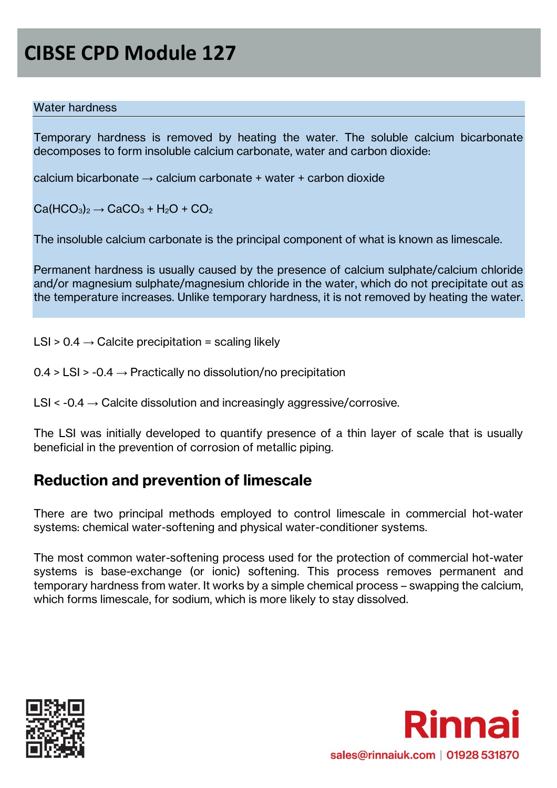#### Water hardness

Temporary hardness is removed by heating the water. The soluble calcium bicarbonate decomposes to form insoluble calcium carbonate, water and carbon dioxide:

calcium bicarbonate  $\rightarrow$  calcium carbonate + water + carbon dioxide

 $Ca(HCO<sub>3</sub>)<sub>2</sub> \rightarrow CaCO<sub>3</sub> + H<sub>2</sub>O + CO<sub>2</sub>$ 

The insoluble calcium carbonate is the principal component of what is known as limescale.

Permanent hardness is usually caused by the presence of calcium sulphate/calcium chloride and/or magnesium sulphate/magnesium chloride in the water, which do not precipitate out as the temperature increases. Unlike temporary hardness, it is not removed by heating the water.

 $LSI > 0.4 \rightarrow$  Calcite precipitation = scaling likely

 $0.4 > LS$  > -0.4  $\rightarrow$  Practically no dissolution/no precipitation

 $LSI < -0.4 \rightarrow$  Calcite dissolution and increasingly aggressive/corrosive.

The LSI was initially developed to quantify presence of a thin layer of scale that is usually beneficial in the prevention of corrosion of metallic piping.

### **Reduction and prevention of limescale**

There are two principal methods employed to control limescale in commercial hot-water systems: chemical water-softening and physical water-conditioner systems.

The most common water-softening process used for the protection of commercial hot-water systems is base-exchange (or ionic) softening. This process removes permanent and temporary hardness from water. It works by a simple chemical process – swapping the calcium, which forms limescale, for sodium, which is more likely to stay dissolved.



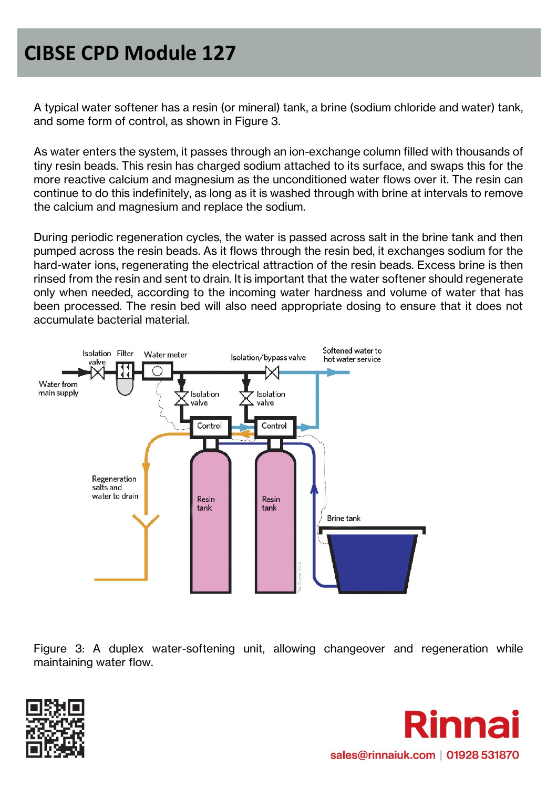A typical water softener has a resin (or mineral) tank, a brine (sodium chloride and water) tank, and some form of control, as shown in Figure 3.

As water enters the system, it passes through an ion-exchange column filled with thousands of tiny resin beads. This resin has charged sodium attached to its surface, and swaps this for the more reactive calcium and magnesium as the unconditioned water flows over it. The resin can continue to do this indefinitely, as long as it is washed through with brine at intervals to remove the calcium and magnesium and replace the sodium.

During periodic regeneration cycles, the water is passed across salt in the brine tank and then pumped across the resin beads. As it flows through the resin bed, it exchanges sodium for the hard-water ions, regenerating the electrical attraction of the resin beads. Excess brine is then rinsed from the resin and sent to drain. It is important that the water softener should regenerate only when needed, according to the incoming water hardness and volume of water that has been processed. The resin bed will also need appropriate dosing to ensure that it does not accumulate bacterial material.



Figure 3: A duplex water-softening unit, allowing changeover and regeneration while maintaining water flow.



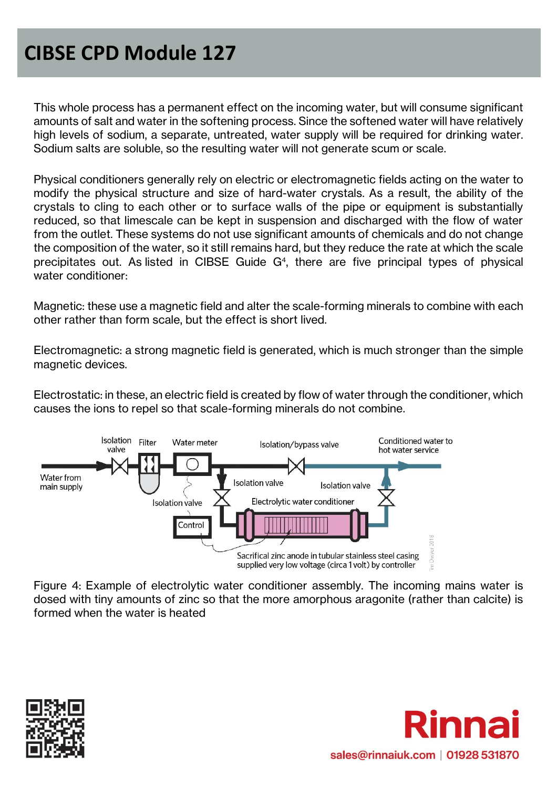This whole process has a permanent effect on the incoming water, but will consume significant amounts of salt and water in the softening process. Since the softened water will have relatively high levels of sodium, a separate, untreated, water supply will be required for drinking water. Sodium salts are soluble, so the resulting water will not generate scum or scale.

Physical conditioners generally rely on electric or electromagnetic fields acting on the water to modify the physical structure and size of hard-water crystals. As a result, the ability of the crystals to cling to each other or to surface walls of the pipe or equipment is substantially reduced, so that limescale can be kept in suspension and discharged with the flow of water from the outlet. These systems do not use significant amounts of chemicals and do not change the composition of the water, so it still remains hard, but they reduce the rate at which the scale precipitates out. As listed in CIBSE Guide G<sup>4</sup>, there are five principal types of physical water conditioner:

Magnetic: these use a magnetic field and alter the scale-forming minerals to combine with each other rather than form scale, but the effect is short lived.

Electromagnetic: a strong magnetic field is generated, which is much stronger than the simple magnetic devices.

Electrostatic: in these, an electric field is created by flow of water through the conditioner, which causes the ions to repel so that scale-forming minerals do not combine.



Figure 4: Example of electrolytic water conditioner assembly. The incoming mains water is dosed with tiny amounts of zinc so that the more amorphous aragonite (rather than calcite) is formed when the water is heated



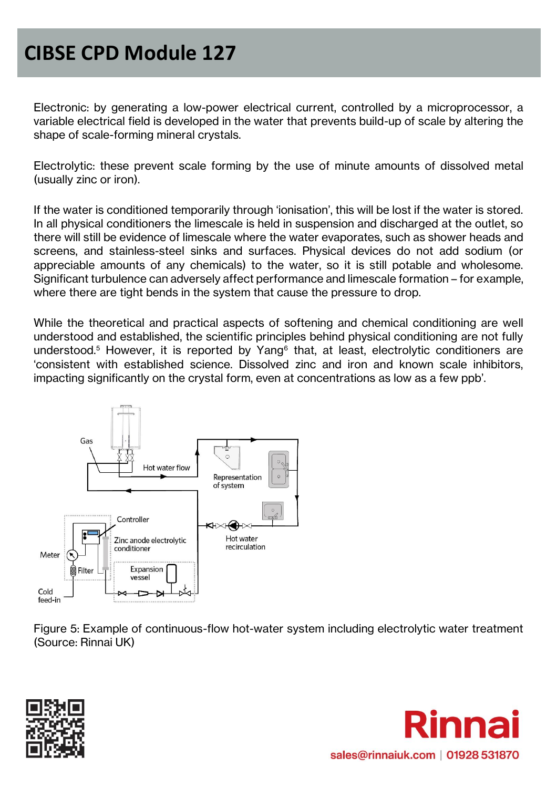Electronic: by generating a low-power electrical current, controlled by a microprocessor, a variable electrical field is developed in the water that prevents build-up of scale by altering the shape of scale-forming mineral crystals.

Electrolytic: these prevent scale forming by the use of minute amounts of dissolved metal (usually zinc or iron).

If the water is conditioned temporarily through 'ionisation', this will be lost if the water is stored. In all physical conditioners the limescale is held in suspension and discharged at the outlet, so there will still be evidence of limescale where the water evaporates, such as shower heads and screens, and stainless-steel sinks and surfaces. Physical devices do not add sodium (or appreciable amounts of any chemicals) to the water, so it is still potable and wholesome. Significant turbulence can adversely affect performance and limescale formation – for example, where there are tight bends in the system that cause the pressure to drop.

While the theoretical and practical aspects of softening and chemical conditioning are well understood and established, the scientific principles behind physical conditioning are not fully understood.<sup>5</sup> However, it is reported by Yang<sup>6</sup> that, at least, electrolytic conditioners are 'consistent with established science. Dissolved zinc and iron and known scale inhibitors, impacting significantly on the crystal form, even at concentrations as low as a few ppb'.



Figure 5: Example of continuous-flow hot-water system including electrolytic water treatment (Source: Rinnai UK)



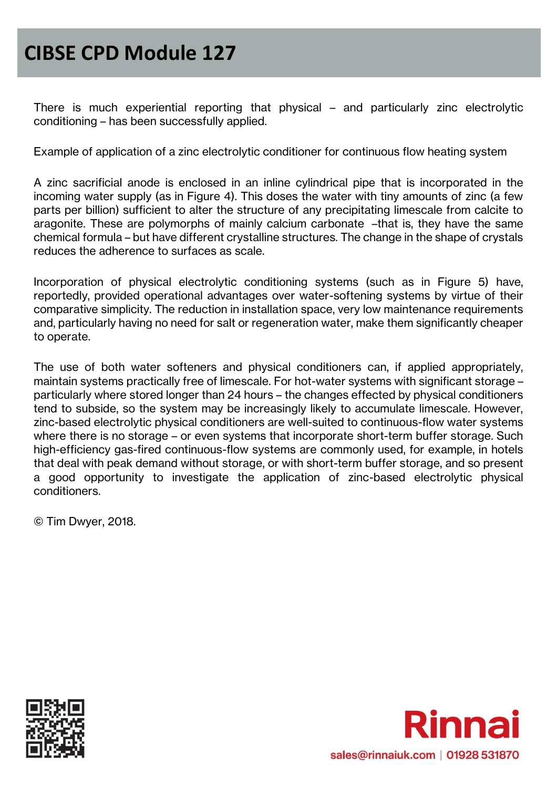There is much experiential reporting that physical – and particularly zinc electrolytic conditioning – has been successfully applied.

Example of application of a zinc electrolytic conditioner for continuous flow heating system

A zinc sacrificial anode is enclosed in an inline cylindrical pipe that is incorporated in the incoming water supply (as in Figure 4). This doses the water with tiny amounts of zinc (a few parts per billion) sufficient to alter the structure of any precipitating limescale from calcite to aragonite. These are polymorphs of mainly calcium carbonate –that is, they have the same chemical formula – but have different crystalline structures. The change in the shape of crystals reduces the adherence to surfaces as scale.

Incorporation of physical electrolytic conditioning systems (such as in Figure 5) have, reportedly, provided operational advantages over water-softening systems by virtue of their comparative simplicity. The reduction in installation space, very low maintenance requirements and, particularly having no need for salt or regeneration water, make them significantly cheaper to operate.

The use of both water softeners and physical conditioners can, if applied appropriately, maintain systems practically free of limescale. For hot-water systems with significant storage – particularly where stored longer than 24 hours – the changes effected by physical conditioners tend to subside, so the system may be increasingly likely to accumulate limescale. However, zinc-based electrolytic physical conditioners are well-suited to continuous-flow water systems where there is no storage – or even systems that incorporate short-term buffer storage. Such high-efficiency gas-fired continuous-flow systems are commonly used, for example, in hotels that deal with peak demand without storage, or with short-term buffer storage, and so present a good opportunity to investigate the application of zinc-based electrolytic physical conditioners.

© Tim Dwyer, 2018.